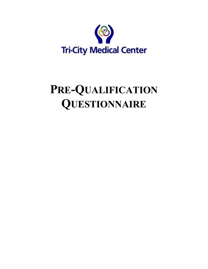

# **PRE-QUALIFICATION QUESTIONNAIRE**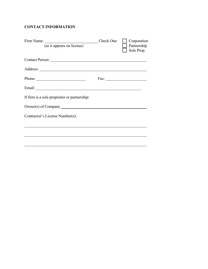# **CONTACT INFORMATION**

| Firm Name: $\frac{\Box}{\Box}$ Check One: $\Box$ Corporation $\Box$ Partnership | Sole Prop. |
|---------------------------------------------------------------------------------|------------|
| Contact Person:                                                                 |            |
|                                                                                 |            |
| Phone: $\frac{1}{\sqrt{1-\frac{1}{2}} \cdot \frac{1}{2}}$                       |            |
|                                                                                 |            |
| If firm is a sole proprietor or partnership:                                    |            |
| Owner(s) of Company                                                             |            |
| Contractor's License Number(s):                                                 |            |
|                                                                                 |            |
|                                                                                 |            |
|                                                                                 |            |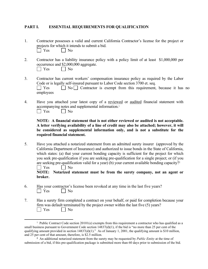#### **PART I. ESSENTIAL REQUIREMENTS FOR QUALIFICATION**

- 1. Contractor possesses a valid and current California Contractor's license for the project or projects for which it intends to submit a bid.  $\Box$  Yes  $\Box$  No
- 2. Contractor has a liability insurance policy with a policy limit of at least \$1,000,000 per occurrence and \$2,000,000 aggregate.  $\Box$  Yes  $\Box$  No
- 3. Contractor has current workers' compensation insurance policy as required by the Labor Code or is legally self-insured pursuant to Labor Code section 3700 et. seq.  $\Box$  Yes  $\Box$  No  $\Box$  Contractor is exempt from this requirement, because it has no employees
- 4. Have you attached your latest copy of a reviewed or audited financial statement with accompanying notes and supplemental information.<sup>1</sup>  $\Box$  Yes  $\Box$  No

**NOTE: A financial statement that is not either reviewed or audited is not acceptable. A letter verifying availability of a line of credit may also be attached; however, it will be considered as supplemental information only, and is not a substitute for the required financial statement.**

5. Have you attached a notarized statement from an admitted surety insurer (approved by the California Department of Insurance) and authorized to issue bonds in the State of California, which states: (a) that your current bonding capacity is sufficient for the project for which you seek pre-qualification if you are seeking pre-qualification for a single project; or (if you are seeking pre-qualification valid for a year) (b) your current available bonding capacity?<sup>2</sup>  $\vert$   $\vert$  Yes  $\vert$   $\vert$  No

**NOTE: Notarized statement must be from the surety company, not an agent or broker.**

- 6. Has your contractor's license been revoked at any time in the last five years?  $\Box$  Yes  $\Box$  No
- 7. Has a surety firm completed a contract on your behalf, or paid for completion because your firm was default terminated by the project owner within the last five (5) years?  $\Box$  Yes  $\Box$  No

<sup>&</sup>lt;sup>1</sup> Public Contract Code section 20101(e) exempts from this requirement a contractor who has qualified as a small business pursuant to Government Code section  $14837(d)(1)$ , if the bid is "no more than 25 per cent of the qualifying amount provided in section  $14837(d)(1)$ ." As of January 1, 2001, the qualifying amount is \$10 million, and 25 per cent of that amount, therefore, is \$2.5 million.

**<sup>2</sup>** An additional notarized statement from the surety may be requested by *Public Entity* at the time of submission of a bid, if this pre-qualification package is submitted more than 60 days prior to submission of the bid.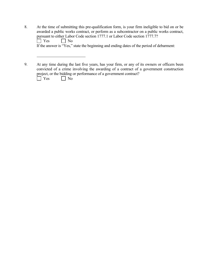| 8. | At the time of submitting this pre-qualification form, is your firm ineligible to bid on or be |
|----|------------------------------------------------------------------------------------------------|
|    | awarded a public works contract, or perform as a subcontractor on a public works contract,     |
|    | pursuant to either Labor Code section 1777.1 or Labor Code section 1777.7?                     |
|    | $\Box$ No<br>$\blacksquare$ Yes                                                                |
|    | If the answer is "Yes," state the beginning and ending dates of the period of debarment:       |
|    |                                                                                                |
|    |                                                                                                |

9. At any time during the last five years, has your firm, or any of its owners or officers been convicted of a crime involving the awarding of a contract of a government construction project, or the bidding or performance of a government contract?

Yes No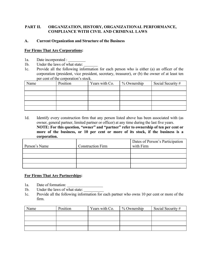# **PART II. ORGANIZATION, HISTORY, ORGANIZATIONAL PERFORMANCE, COMPLIANCE WITH CIVIL AND CRIMINAL LAWS**

## **A. Current Organization and Structure of the Business**

#### **For Firms That Are Corporations:**

- 1a. Date incorporated :
- 1b. Under the laws of what state:
- 1c. Provide all the following information for each person who is either (a) an officer of the corporation (president, vice president, secretary, treasurer), or (b) the owner of at least ten per cent of the corporation's stock.

| Name | Position | Years with Co. | % Ownership | Social Security # |
|------|----------|----------------|-------------|-------------------|
|      |          |                |             |                   |
|      |          |                |             |                   |
|      |          |                |             |                   |
|      |          |                |             |                   |
|      |          |                |             |                   |

1d. Identify every construction firm that any person listed above has been associated with (as owner, general partner, limited partner or officer) at any time during the last five years. **NOTE: For this question, "owner" and "partner" refer to ownership of ten per cent or more of the business, or 10 per cent or more of its stock, if the business is a corporation.** 

|               |                          | Dates of Person's Participation |
|---------------|--------------------------|---------------------------------|
| Person's Name | <b>Construction Firm</b> | with Firm                       |
|               |                          |                                 |
|               |                          |                                 |
|               |                          |                                 |
|               |                          |                                 |

# **For Firms That Are Partnerships:**

- 1a. Date of formation:
- 1b. Under the laws of what state:
- 1c. Provide all the following information for each partner who owns 10 per cent or more of the firm.

| Name | Position | Years with Co. | % Ownership | Social Security # |
|------|----------|----------------|-------------|-------------------|
|      |          |                |             |                   |
|      |          |                |             |                   |
|      |          |                |             |                   |
|      |          |                |             |                   |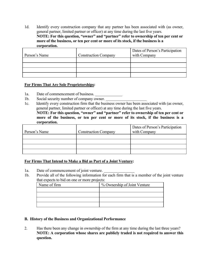1d. Identify every construction company that any partner has been associated with (as owner, general partner, limited partner or officer) at any time during the last five years. **NOTE: For this question, "owner" and "partner" refer to ownership of ten per cent or more of the business, or ten per cent or more of its stock, if the business is a corporation.** 

|               |                             | Dates of Person's Participation |
|---------------|-----------------------------|---------------------------------|
| Person's Name | <b>Construction Company</b> | with Company                    |
|               |                             |                                 |
|               |                             |                                 |
|               |                             |                                 |
|               |                             |                                 |

#### **For Firms That Are Sole Proprietorships:**

- 1a. Date of commencement of business.
- 1b. Social security number of company owner.
- 1c. Identify every construction firm that the business owner has been associated with (as owner, general partner, limited partner or officer) at any time during the last five years.

**NOTE: For this question, "owner" and "partner" refer to ownership of ten per cent or more of the business, or ten per cent or more of its stock, if the business is a corporation.** 

|               |                             | Dates of Person's Participation |
|---------------|-----------------------------|---------------------------------|
| Person's Name | <b>Construction Company</b> | with Company                    |
|               |                             |                                 |
|               |                             |                                 |
|               |                             |                                 |
|               |                             |                                 |

# **For Firms That Intend to Make a Bid as Part of a Joint Venture:**

- 1a. Date of commencement of joint venture.
- 1b. Provide all of the following information for each firm that is a member of the joint venture that expects to bid on one or more projects:

| Name of firm | % Ownership of Joint Venture |
|--------------|------------------------------|
|              |                              |
|              |                              |
|              |                              |
|              |                              |

#### **B. History of the Business and Organizational Performance**

2. Has there been any change in ownership of the firm at any time during the last three years? **NOTE: A corporation whose shares are publicly traded is not required to answer this question.**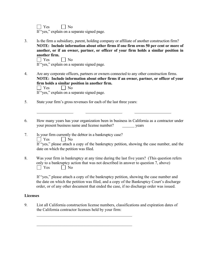$\Box$  Yes  $\Box$  No

If "yes," explain on a separate signed page.

3. Is the firm a subsidiary, parent, holding company or affiliate of another construction firm? **NOTE: Include information about other firms if one firm owns 50 per cent or more of another, or if an owner, partner, or officer of your firm holds a similar position in another firm.**

 $\Box$  Yes  $\Box$  No

If "yes," explain on a separate signed page.

4. Are any corporate officers, partners or owners connected to any other construction firms. **NOTE: Include information about other firms if an owner, partner, or officer of your firm holds a similar position in another firm.**   $\Box$  Yes  $\Box$  No If "yes," explain on a separate signed page.

5. State your firm's gross revenues for each of the last three years:

6. How many years has your organization been in business in California as a contractor under your present business name and license number? years

the control of the control of the control

- 7. Is your firm currently the debtor in a bankruptcy case?  $\Box$  Yes  $\Box$  No If "yes," please attach a copy of the bankruptcy petition, showing the case number, and the date on which the petition was filed.
- 8. Was your firm in bankruptcy at any time during the last five years? (This question refers only to a bankruptcy action that was not described in answer to question 7, above)  $\Box$  Yes  $\Box$  No

If "yes," please attach a copy of the bankruptcy petition, showing the case number and the date on which the petition was filed, and a copy of the Bankruptcy Court's discharge order, or of any other document that ended the case, if no discharge order was issued.

# **Licenses**

9. List all California construction license numbers, classifications and expiration dates of the California contractor licenses held by your firm: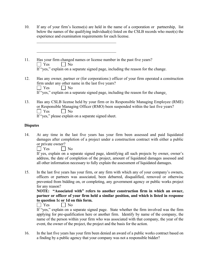- 10. If any of your firm's license(s) are held in the name of a corporation or partnership, list below the names of the qualifying individual(s) listed on the CSLB records who meet(s) the experience and examination requirements for each license.
- 11. Has your firm changed names or license number in the past five years?  $\Box$  Yes  $\Box$  No If "yes," explain on a separate signed page, including the reason for the change.
- 12. Has any owner, partner or (for corporations:) officer of your firm operated a construction firm under any other name in the last five years?  $\Box$  Yes  $\Box$  No If "yes," explain on a separate signed page, including the reason for the change.
- 13. Has any CSLB license held by your firm or its Responsible Managing Employee (RME) or Responsible Managing Officer (RMO) been suspended within the last five years?  $\Box$  Yes  $\Box$  No If "yes," please explain on a separate signed sheet.

#### **Disputes**

14. At any time in the last five years has your firm been assessed and paid liquidated damages after completion of a project under a construction contract with either a public or private owner?

 $\Box$  Yes  $\Box$  No

If yes, explain on a separate signed page, identifying all such projects by owner, owner's address, the date of completion of the project, amount of liquidated damages assessed and all other information necessary to fully explain the assessment of liquidated damages.

15. In the last five years has your firm, or any firm with which any of your company's owners, officers or partners was associated, been debarred, disqualified, removed or otherwise prevented from bidding on, or completing, any government agency or public works project for any reason?

**NOTE: "Associated with" refers to another construction firm in which an owner, partner or officer of your firm held a similar position, and which is listed in response to question 1c or 1d on this form.**

No No No

If "yes," explain on a separate signed page. State whether the firm involved was the firm applying for pre-qualification here or another firm. Identify by name of the company, the name of the person within your firm who was associated with that company, the year of the event, the owner of the project, the project and the basis for the action.

16. In the last five years has your firm been denied an award of a public works contract based on a finding by a public agency that your company was not a responsible bidder?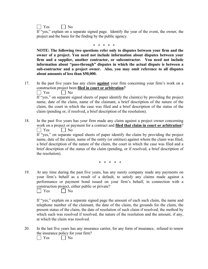$\Box$  Yes  $\Box$  No

If "yes," explain on a separate signed page. Identify the year of the event, the owner, the project and the basis for the finding by the public agency.

**\* \* \* \* \***

**NOTE: The following two questions refer only to disputes between your firm and the owner of a project. You need not include information about disputes between your firm and a supplier, another contractor, or subcontractor. You need not include information about "pass-through" disputes in which the actual dispute is between a sub-contractor and a project owner. Also, you may omit reference to all disputes about amounts of less than \$50,000.**

17. In the past five years has any claim **against** your firm concerning your firm's work on a construction project been **filed in court or arbitration?**

 $\vert$  Yes  $\vert$  No

If "yes," on separate signed sheets of paper identify the claim(s) by providing the project name, date of the claim, name of the claimant, a brief description of the nature of the claim, the court in which the case was filed and a brief description of the status of the claim (pending or, if resolved, a brief description of the resolution).

18. In the past five years has your firm made any claim against a project owner concerning work on a project or payment for a contract and **filed that claim in court or arbitration**?  $\vert$   $\vert$  Yes  $\vert$  No

If "yes," on separate signed sheets of paper identify the claim by providing the project name, date of the claim, name of the entity (or entities) against whom the claim was filed, a brief description of the nature of the claim, the court in which the case was filed and a brief description of the status of the claim (pending, or if resolved, a brief description of the resolution).

\* \* \* \* \*

19. At any time during the past five years, has any surety company made any payments on your firm's behalf as a result of a default, to satisfy any claims made against a performance or payment bond issued on your firm's behalf, in connection with a construction project, either public or private?

 $\Box$  Yes  $\Box$  No

If "yes," explain on a separate signed page the amount of each such claim, the name and telephone number of the claimant, the date of the claim, the grounds for the claim, the present status of the claim, the date of resolution of such claim if resolved, the method by which such was resolved if resolved, the nature of the resolution and the amount, if any, at which the claim was resolved.

20. In the last five years has any insurance carrier, for any form of insurance, refused to renew the insurance policy for your firm?

 $\Box$  Yes  $\Box$  No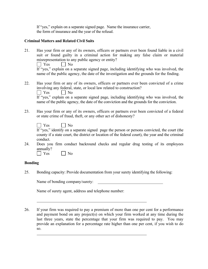If "yes," explain on a separate signed page. Name the insurance carrier, the form of insurance and the year of the refusal.

#### **Criminal Matters and Related Civil Suits**

21. Has your firm or any of its owners, officers or partners ever been found liable in a civil suit or found guilty in a criminal action for making any false claim or material misrepresentation to any public agency or entity?

 $\Box$  Yes  $\Box$  No

If "yes," explain on a separate signed page, including identifying who was involved, the name of the public agency, the date of the investigation and the grounds for the finding.

22. Has your firm or any of its owners, officers or partners ever been convicted of a crime involving any federal, state, or local law related to construction?

 $\Box$  Yes  $\Box$  No

If "yes," explain on a separate signed page, including identifying who was involved, the name of the public agency, the date of the conviction and the grounds for the conviction.

23. Has your firm or any of its owners, officers or partners ever been convicted of a federal or state crime of fraud, theft, or any other act of dishonesty?

If "yes," identify on a separate signed page the person or persons convicted, the court (the county if a state court, the district or location of the federal court), the year and the criminal conduct.

24. Does you firm conduct backround checks and regular drug testing of its employees annually?

 $\Box$  Yes  $\Box$  No

# **Bonding**

25. Bonding capacity: Provide documentation from your surety identifying the following:

Name of bonding company/surety:

Name of surety agent, address and telephone number:

26. If your firm was required to pay a premium of more than one per cent for a performance and payment bond on any project(s) on which your firm worked at any time during the last three years, state the percentage that your firm was required to pay. You may provide an explanation for a percentage rate higher than one per cent, if you wish to do so.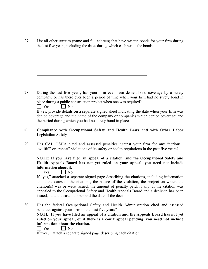27. List all other sureties (name and full address) that have written bonds for your firm during the last five years, including the dates during which each wrote the bonds:

28. During the last five years, has your firm ever been denied bond coverage by a surety company, or has there ever been a period of time when your firm had no surety bond in place during a public construction project when one was required? **1** Yes **D** No

If yes, provide details on a separate signed sheet indicating the date when your firm was denied coverage and the name of the company or companies which denied coverage; and the period during which you had no surety bond in place.

# **C. Compliance with Occupational Safety and Health Laws and with Other Labor Legislation Safety**

29. Has CAL OSHA cited and assessed penalties against your firm for any "serious," "willful" or "repeat" violations of its safety or health regulations in the past five years?

# **NOTE: If you have filed an appeal of a citation, and the Occupational Safety and Health Appeals Board has not yet ruled on your appeal, you need not include information about it.**

 $\Box$  Yes  $\Box$  No

If "yes," attached a separate signed page describing the citations, including information about the dates of the citations, the nature of the violation, the project on which the citation(s) was or were issued, the amount of penalty paid, if any. If the citation was appealed to the Occupational Safety and Health Appeals Board and a decision has been issued, state the case number and the date of the decision.

30. Has the federal Occupational Safety and Health Administration cited and assessed penalties against your firm in the past five years?

**NOTE: If you have filed an appeal of a citation and the Appeals Board has not yet ruled on your appeal, or if there is a court appeal pending, you need not include information about the citation.**

 $\Box$  Yes  $\Box$  No

If "yes," attach a separate signed page describing each citation.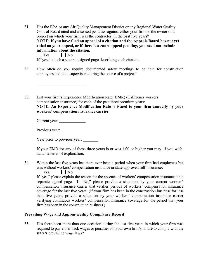31. Has the EPA or any Air Quality Management District or any Regional Water Quality Control Board cited and assessed penalties against either your firm or the owner of a project on which your firm was the contractor, in the past five years? **NOTE: If you have filed an appeal of a citation and the Appeals Board has not yet ruled on your appeal, or if there is a court appeal pending, you need not include information about the citation.**  $\Box$  Yes  $\Box$  No

If "yes," attach a separate signed page describing each citation.

- 32. How often do you require documented safety meetings to be held for construction employees and field supervisors during the course of a project?
- 33. List your firm's Experience Modification Rate (EMR) (California workers' compensation insurance) for each of the past three premium years: **NOTE: An Experience Modification Rate is issued to your firm annually by your workers' compensation insurance carrier.**

| Current year: |  |
|---------------|--|
|               |  |

| Previous year: |  |
|----------------|--|
|----------------|--|

Year prior to previous year: \_\_\_\_\_\_\_

If your EMR for any of these three years is or was 1.00 or higher you may, if you wish, attach a letter of explanation.

34. Within the last five years has there ever been a period when your firm had employees but was without workers' compensation insurance or state-approved self-insurance?

 $\Box$  Yes  $\Box$  No

If "yes," please explain the reason for the absence of workers' compensation insurance on a separate signed page. If "No," please provide a statement by your current workers' compensation insurance carrier that verifies periods of workers' compensation insurance coverage for the last five years. (If your firm has been in the construction business for less than five years, provide a statement by your workers' compensation insurance carrier verifying continuous workers' compensation insurance coverage for the period that your firm has been in the construction business.)

#### **Prevailing Wage and Apprenticeship Compliance Record**

35. Has there been more than one occasion during the last five years in which your firm was required to pay either back wages or penalties for your own firm's failure to comply with the **state's** prevailing wage laws?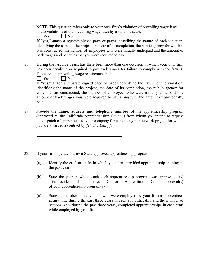NOTE: This question refers only to your own firm's violation of prevailing wage laws, not to violations of the prevailing wage laws by a subcontractor.

 $\vert$  | Yes  $\Box$  No

If "yes," attach a separate signed page or pages, describing the nature of each violation, identifying the name of the project, the date of its completion, the public agency for which it was constructed; the number of employees who were initially underpaid and the amount of back wages and penalties that you were required to pay.

36. During the last five years, has there been more than one occasion in which your own firm has been penalized or required to pay back wages for failure to comply with the **federal** Davis-Bacon prevailing wage requirements?

 $\Box$  Yes  $\Box$  No If "yes," attach a separate signed page or pages describing the nature of the violation, identifying the name of the project, the date of its completion, the public agency for which it was constructed; the number of employees who were initially underpaid, the amount of back wages you were required to pay along with the amount of any penalty paid.

- 37. Provide the **name, address and telephone number** of the apprenticeship program (approved by the California Apprenticeship Council) from whom you intend to request the dispatch of apprentices to your company for use on any public work project for which you are awarded a contract by *[Public Entity].*
- 38. If your firm operates its own State-approved apprenticeship program:
	- (a) Identify the craft or crafts in which your firm provided apprenticeship training in the past year.
	- (b) State the year in which each such apprenticeship program was approved, and attach evidence of the most recent California Apprenticeship Council approval(s) of your apprenticeship program(s).
	- (c) State the number of individuals who were employed by your firm as apprentices at any time during the past three years in each apprenticeship and the number of persons who, during the past three years, completed apprenticeships in each craft while employed by your firm.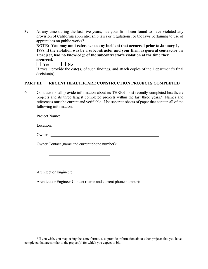39. At any time during the last five years, has your firm been found to have violated any provision of California apprenticeship laws or regulations, or the laws pertaining to use of apprentices on public works?

**NOTE: You may omit reference to any incident that occurred prior to January 1, 1998, if the violation was by a subcontractor and your firm, as general contractor on a project, had no knowledge of the subcontractor's violation at the time they occurred.** 

 $\Box$  Yes  $\Box$  No

If "yes," provide the date(s) of such findings, and attach copies of the Department's final decision(s).

# **PART III. RECENT HEALTHCARE CONSTRUCTION PROJECTS COMPLETED**

40. Contractor shall provide information about its THREE most recently completed healthcare projects and its three largest completed projects within the last three years.<sup>3</sup> Names and references must be current and verifiable. Use separate sheets of paper that contain all of the following information:

Project Name:

Location:

Owner:

Owner Contact (name and current phone number):

Architect or Engineer:

Architect or Engineer Contact (name and current phone number):

<u> 1989 - Johann Barbara, martin a</u>

<sup>&</sup>lt;sup>3</sup> If you wish, you may, using the same format, also provide information about other projects that you have completed that are similar to the project(s) for which you expect to bid.